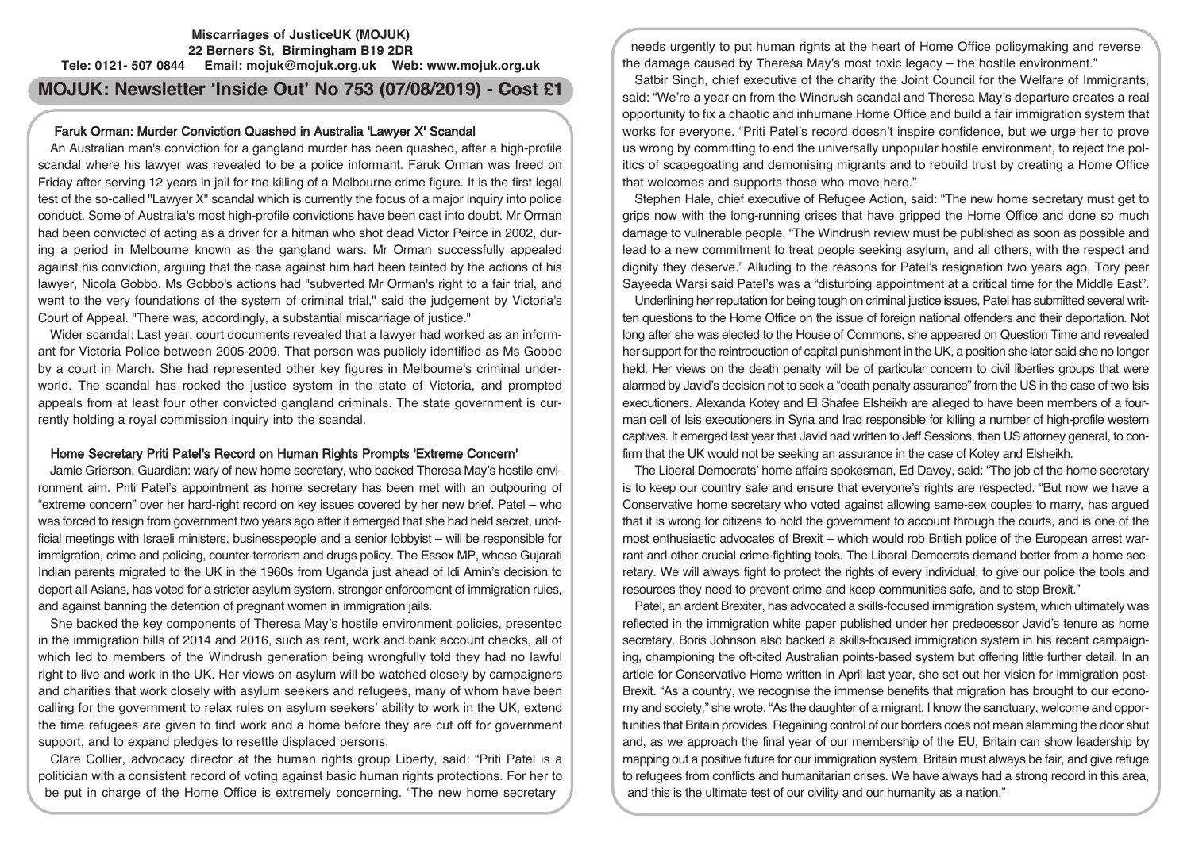# **Miscarriages of JusticeUK (MOJUK) 22 Berners St, Birmingham B19 2DR Tele: 0121- 507 0844 Email: mojuk@mojuk.org.uk Web: www.mojuk.org.uk**

# **MOJUK: Newsletter 'Inside Out' No 753 (07/08/2019) - Cost £1**

# Faruk Orman: Murder Conviction Quashed in Australia 'Lawyer X' Scandal

An Australian man's conviction for a gangland murder has been quashed, after a high-profile scandal where his lawyer was revealed to be a police informant. Faruk Orman was freed on Friday after serving 12 years in jail for the killing of a Melbourne crime figure. It is the first legal test of the so-called "Lawyer X" scandal which is currently the focus of a major inquiry into police conduct. Some of Australia's most high-profile convictions have been cast into doubt. Mr Orman had been convicted of acting as a driver for a hitman who shot dead Victor Peirce in 2002, during a period in Melbourne known as the gangland wars. Mr Orman successfully appealed against his conviction, arguing that the case against him had been tainted by the actions of his lawyer, Nicola Gobbo. Ms Gobbo's actions had "subverted Mr Orman's right to a fair trial, and went to the very foundations of the system of criminal trial," said the judgement by Victoria's Court of Appeal. "There was, accordingly, a substantial miscarriage of justice."

Wider scandal: Last year, court documents revealed that a lawyer had worked as an informant for Victoria Police between 2005-2009. That person was publicly identified as Ms Gobbo by a court in March. She had represented other key figures in Melbourne's criminal underworld. The scandal has rocked the justice system in the state of Victoria, and prompted appeals from at least four other convicted gangland criminals. The state government is currently holding a royal commission inquiry into the scandal.

## Home Secretary Priti Patel's Record on Human Rights Prompts 'Extreme Concern'

Jamie Grierson, Guardian: wary of new home secretary, who backed Theresa May's hostile environment aim. Priti Patel's appointment as home secretary has been met with an outpouring of "extreme concern" over her hard-right record on key issues covered by her new brief. Patel – who was forced to resign from government two years ago after it emerged that she had held secret, unofficial meetings with Israeli ministers, businesspeople and a senior lobbyist – will be responsible for immigration, crime and policing, counter-terrorism and drugs policy. The Essex MP, whose Gujarati Indian parents migrated to the UK in the 1960s from Uganda just ahead of Idi Amin's decision to deport all Asians, has voted for a stricter asylum system, stronger enforcement of immigration rules, and against banning the detention of pregnant women in immigration jails.

She backed the key components of Theresa May's hostile environment policies, presented in the immigration bills of 2014 and 2016, such as rent, work and bank account checks, all of which led to members of the Windrush generation being wrongfully told they had no lawful right to live and work in the UK. Her views on asylum will be watched closely by campaigners and charities that work closely with asylum seekers and refugees, many of whom have been calling for the government to relax rules on asylum seekers' ability to work in the UK, extend the time refugees are given to find work and a home before they are cut off for government support, and to expand pledges to resettle displaced persons.

Clare Collier, advocacy director at the human rights group Liberty, said: "Priti Patel is a politician with a consistent record of voting against basic human rights protections. For her to be put in charge of the Home Office is extremely concerning. "The new home secretary

needs urgently to put human rights at the heart of Home Office policymaking and reverse the damage caused by Theresa May's most toxic legacy – the hostile environment."

Satbir Singh, chief executive of the charity the Joint Council for the Welfare of Immigrants, said: "We're a year on from the Windrush scandal and Theresa May's departure creates a real opportunity to fix a chaotic and inhumane Home Office and build a fair immigration system that works for everyone. "Priti Patel's record doesn't inspire confidence, but we urge her to prove us wrong by committing to end the universally unpopular hostile environment, to reject the politics of scapegoating and demonising migrants and to rebuild trust by creating a Home Office that welcomes and supports those who move here."

Stephen Hale, chief executive of Refugee Action, said: "The new home secretary must get to grips now with the long-running crises that have gripped the Home Office and done so much damage to vulnerable people. "The Windrush review must be published as soon as possible and lead to a new commitment to treat people seeking asylum, and all others, with the respect and dignity they deserve." Alluding to the reasons for Patel's resignation two years ago, Tory peer Sayeeda Warsi said Patel's was a "disturbing appointment at a critical time for the Middle East".

Underlining her reputation for being tough on criminal justice issues, Patel has submitted several written questions to the Home Office on the issue of foreign national offenders and their deportation. Not long after she was elected to the House of Commons, she appeared on Question Time and revealed her support for the reintroduction of capital punishment in the UK, a position she later said she no longer held. Her views on the death penalty will be of particular concern to civil liberties groups that were alarmed by Javid's decision not to seek a "death penalty assurance" from the US in the case of two Isis executioners. Alexanda Kotey and El Shafee Elsheikh are alleged to have been members of a fourman cell of Isis executioners in Syria and Iraq responsible for killing a number of high-profile western captives. It emerged last year that Javid had written to Jeff Sessions, then US attorney general, to confirm that the UK would not be seeking an assurance in the case of Kotey and Elsheikh.

The Liberal Democrats' home affairs spokesman, Ed Davey, said: "The job of the home secretary is to keep our country safe and ensure that everyone's rights are respected. "But now we have a Conservative home secretary who voted against allowing same-sex couples to marry, has argued that it is wrong for citizens to hold the government to account through the courts, and is one of the most enthusiastic advocates of Brexit – which would rob British police of the European arrest warrant and other crucial crime-fighting tools. The Liberal Democrats demand better from a home secretary. We will always fight to protect the rights of every individual, to give our police the tools and resources they need to prevent crime and keep communities safe, and to stop Brexit."

Patel, an ardent Brexiter, has advocated a skills-focused immigration system, which ultimately was reflected in the immigration white paper published under her predecessor Javid's tenure as home secretary. Boris Johnson also backed a skills-focused immigration system in his recent campaigning, championing the oft-cited Australian points-based system but offering little further detail. In an article for Conservative Home written in April last year, she set out her vision for immigration post-Brexit. "As a country, we recognise the immense benefits that migration has brought to our economy and society," she wrote. "As the daughter of a migrant, I know the sanctuary, welcome and opportunities that Britain provides. Regaining control of our borders does not mean slamming the door shut and, as we approach the final year of our membership of the EU, Britain can show leadership by mapping out a positive future for our immigration system. Britain must always be fair, and give refuge to refugees from conflicts and humanitarian crises. We have always had a strong record in this area, and this is the ultimate test of our civility and our humanity as a nation."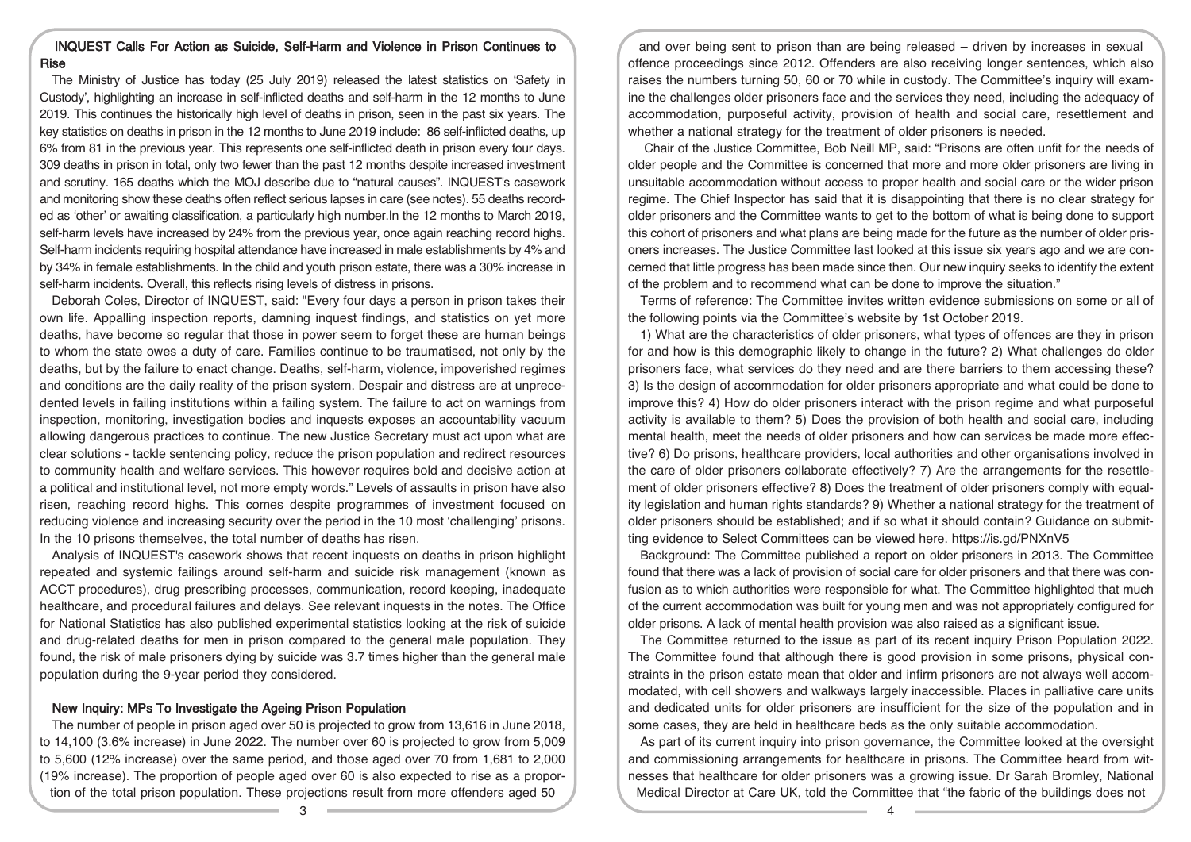# INQUEST Calls For Action as Suicide, Self-Harm and Violence in Prison Continues to Rise

The Ministry of Justice has today (25 July 2019) released the latest statistics on 'Safety in Custody', highlighting an increase in self-inflicted deaths and self-harm in the 12 months to June 2019. This continues the historically high level of deaths in prison, seen in the past six years. The key statistics on deaths in prison in the 12 months to June 2019 include: 86 self-inflicted deaths, up 6% from 81 in the previous year. This represents one self-inflicted death in prison every four days. 309 deaths in prison in total, only two fewer than the past 12 months despite increased investment and scrutiny. 165 deaths which the MOJ describe due to "natural causes". INQUEST's casework and monitoring show these deaths often reflect serious lapses in care (see notes). 55 deaths recorded as 'other' or awaiting classification, a particularly high number.In the 12 months to March 2019, self-harm levels have increased by 24% from the previous year, once again reaching record highs. Self-harm incidents requiring hospital attendance have increased in male establishments by 4% and by 34% in female establishments. In the child and youth prison estate, there was a 30% increase in self-harm incidents. Overall, this reflects rising levels of distress in prisons.

Deborah Coles, Director of INQUEST, said: "Every four days a person in prison takes their own life. Appalling inspection reports, damning inquest findings, and statistics on yet more deaths, have become so regular that those in power seem to forget these are human beings to whom the state owes a duty of care. Families continue to be traumatised, not only by the deaths, but by the failure to enact change. Deaths, self-harm, violence, impoverished regimes and conditions are the daily reality of the prison system. Despair and distress are at unprecedented levels in failing institutions within a failing system. The failure to act on warnings from inspection, monitoring, investigation bodies and inquests exposes an accountability vacuum allowing dangerous practices to continue. The new Justice Secretary must act upon what are clear solutions - tackle sentencing policy, reduce the prison population and redirect resources to community health and welfare services. This however requires bold and decisive action at a political and institutional level, not more empty words." Levels of assaults in prison have also risen, reaching record highs. This comes despite programmes of investment focused on reducing violence and increasing security over the period in the 10 most 'challenging' prisons. In the 10 prisons themselves, the total number of deaths has risen.

Analysis of INQUEST's casework shows that recent inquests on deaths in prison highlight repeated and systemic failings around self-harm and suicide risk management (known as ACCT procedures), drug prescribing processes, communication, record keeping, inadequate healthcare, and procedural failures and delays. See relevant inquests in the notes. The Office for National Statistics has also published experimental statistics looking at the risk of suicide and drug-related deaths for men in prison compared to the general male population. They found, the risk of male prisoners dying by suicide was 3.7 times higher than the general male population during the 9-year period they considered.

# New Inquiry: MPs To Investigate the Ageing Prison Population

The number of people in prison aged over 50 is projected to grow from 13,616 in June 2018, to 14,100 (3.6% increase) in June 2022. The number over 60 is projected to grow from 5,009 to 5,600 (12% increase) over the same period, and those aged over 70 from 1,681 to 2,000 (19% increase). The proportion of people aged over 60 is also expected to rise as a proportion of the total prison population. These projections result from more offenders aged 50

and over being sent to prison than are being released – driven by increases in sexual offence proceedings since 2012. Offenders are also receiving longer sentences, which also raises the numbers turning 50, 60 or 70 while in custody. The Committee's inquiry will examine the challenges older prisoners face and the services they need, including the adequacy of accommodation, purposeful activity, provision of health and social care, resettlement and whether a national strategy for the treatment of older prisoners is needed.

Chair of the Justice Committee, Bob Neill MP, said: "Prisons are often unfit for the needs of older people and the Committee is concerned that more and more older prisoners are living in unsuitable accommodation without access to proper health and social care or the wider prison regime. The Chief Inspector has said that it is disappointing that there is no clear strategy for older prisoners and the Committee wants to get to the bottom of what is being done to support this cohort of prisoners and what plans are being made for the future as the number of older prisoners increases. The Justice Committee last looked at this issue six years ago and we are concerned that little progress has been made since then. Our new inquiry seeks to identify the extent of the problem and to recommend what can be done to improve the situation."

Terms of reference: The Committee invites written evidence submissions on some or all of the following points via the Committee's website by 1st October 2019.

1) What are the characteristics of older prisoners, what types of offences are they in prison for and how is this demographic likely to change in the future? 2) What challenges do older prisoners face, what services do they need and are there barriers to them accessing these? 3) Is the design of accommodation for older prisoners appropriate and what could be done to improve this? 4) How do older prisoners interact with the prison regime and what purposeful activity is available to them? 5) Does the provision of both health and social care, including mental health, meet the needs of older prisoners and how can services be made more effective? 6) Do prisons, healthcare providers, local authorities and other organisations involved in the care of older prisoners collaborate effectively? 7) Are the arrangements for the resettlement of older prisoners effective? 8) Does the treatment of older prisoners comply with equality legislation and human rights standards? 9) Whether a national strategy for the treatment of older prisoners should be established; and if so what it should contain? Guidance on submitting evidence to Select Committees can be viewed here. https://is.gd/PNXnV5

Background: The Committee published a report on older prisoners in 2013. The Committee found that there was a lack of provision of social care for older prisoners and that there was confusion as to which authorities were responsible for what. The Committee highlighted that much of the current accommodation was built for young men and was not appropriately configured for older prisons. A lack of mental health provision was also raised as a significant issue.

The Committee returned to the issue as part of its recent inquiry Prison Population 2022. The Committee found that although there is good provision in some prisons, physical constraints in the prison estate mean that older and infirm prisoners are not always well accommodated, with cell showers and walkways largely inaccessible. Places in palliative care units and dedicated units for older prisoners are insufficient for the size of the population and in some cases, they are held in healthcare beds as the only suitable accommodation.

As part of its current inquiry into prison governance, the Committee looked at the oversight and commissioning arrangements for healthcare in prisons. The Committee heard from witnesses that healthcare for older prisoners was a growing issue. Dr Sarah Bromley, National Medical Director at Care UK, told the Committee that "the fabric of the buildings does not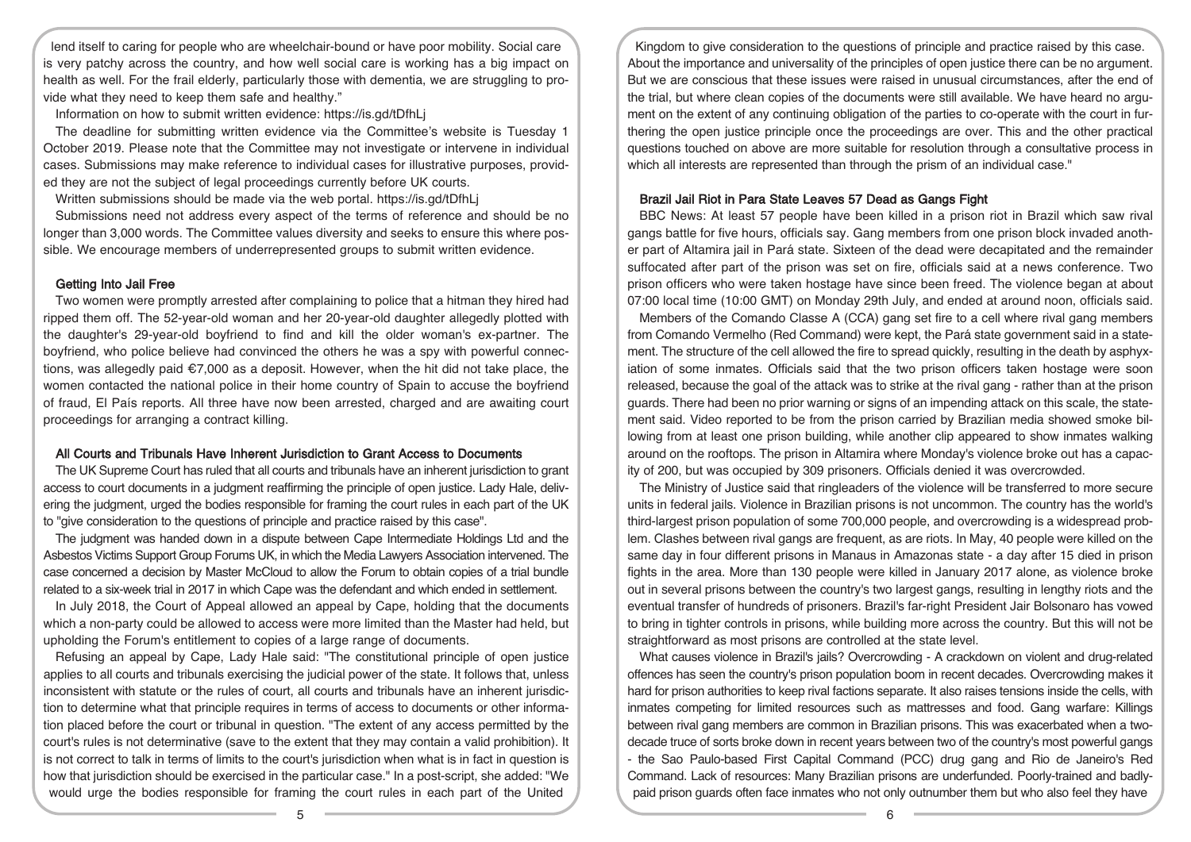lend itself to caring for people who are wheelchair-bound or have poor mobility. Social care is very patchy across the country, and how well social care is working has a big impact on health as well. For the frail elderly, particularly those with dementia, we are struggling to provide what they need to keep them safe and healthy."

Information on how to submit written evidence: https://is.gd/tDfhLj

The deadline for submitting written evidence via the Committee's website is Tuesday 1 October 2019. Please note that the Committee may not investigate or intervene in individual cases. Submissions may make reference to individual cases for illustrative purposes, provided they are not the subject of legal proceedings currently before UK courts.

Written submissions should be made via the web portal. https://is.gd/tDfhLj

Submissions need not address every aspect of the terms of reference and should be no longer than 3,000 words. The Committee values diversity and seeks to ensure this where possible. We encourage members of underrepresented groups to submit written evidence.

#### Getting Into Jail Free

Two women were promptly arrested after complaining to police that a hitman they hired had ripped them off. The 52-year-old woman and her 20-year-old daughter allegedly plotted with the daughter's 29-year-old boyfriend to find and kill the older woman's ex-partner. The boyfriend, who police believe had convinced the others he was a spy with powerful connections, was allegedly paid €7,000 as a deposit. However, when the hit did not take place, the women contacted the national police in their home country of Spain to accuse the boyfriend of fraud, El País reports. All three have now been arrested, charged and are awaiting court proceedings for arranging a contract killing.

#### All Courts and Tribunals Have Inherent Jurisdiction to Grant Access to Documents

The UK Supreme Court has ruled that all courts and tribunals have an inherent jurisdiction to grant access to court documents in a judgment reaffirming the principle of open justice. Lady Hale, delivering the judgment, urged the bodies responsible for framing the court rules in each part of the UK to "give consideration to the questions of principle and practice raised by this case".

The judgment was handed down in a dispute between Cape Intermediate Holdings Ltd and the Asbestos Victims Support Group Forums UK, in which the Media Lawyers Association intervened. The case concerned a decision by Master McCloud to allow the Forum to obtain copies of a trial bundle related to a six-week trial in 2017 in which Cape was the defendant and which ended in settlement.

In July 2018, the Court of Appeal allowed an appeal by Cape, holding that the documents which a non-party could be allowed to access were more limited than the Master had held, but upholding the Forum's entitlement to copies of a large range of documents.

Refusing an appeal by Cape, Lady Hale said: "The constitutional principle of open justice applies to all courts and tribunals exercising the judicial power of the state. It follows that, unless inconsistent with statute or the rules of court, all courts and tribunals have an inherent jurisdiction to determine what that principle requires in terms of access to documents or other information placed before the court or tribunal in question. "The extent of any access permitted by the court's rules is not determinative (save to the extent that they may contain a valid prohibition). It is not correct to talk in terms of limits to the court's jurisdiction when what is in fact in question is how that jurisdiction should be exercised in the particular case." In a post-script, she added: "We would urge the bodies responsible for framing the court rules in each part of the United

Kingdom to give consideration to the questions of principle and practice raised by this case. About the importance and universality of the principles of open justice there can be no argument. But we are conscious that these issues were raised in unusual circumstances, after the end of the trial, but where clean copies of the documents were still available. We have heard no argument on the extent of any continuing obligation of the parties to co-operate with the court in furthering the open justice principle once the proceedings are over. This and the other practical questions touched on above are more suitable for resolution through a consultative process in which all interests are represented than through the prism of an individual case."

### Brazil Jail Riot in Para State Leaves 57 Dead as Gangs Fight

BBC News: At least 57 people have been killed in a prison riot in Brazil which saw rival gangs battle for five hours, officials say. Gang members from one prison block invaded another part of Altamira jail in Pará state. Sixteen of the dead were decapitated and the remainder suffocated after part of the prison was set on fire, officials said at a news conference. Two prison officers who were taken hostage have since been freed. The violence began at about 07:00 local time (10:00 GMT) on Monday 29th July, and ended at around noon, officials said.

Members of the Comando Classe A (CCA) gang set fire to a cell where rival gang members from Comando Vermelho (Red Command) were kept, the Pará state government said in a statement. The structure of the cell allowed the fire to spread quickly, resulting in the death by asphyxiation of some inmates. Officials said that the two prison officers taken hostage were soon released, because the goal of the attack was to strike at the rival gang - rather than at the prison guards. There had been no prior warning or signs of an impending attack on this scale, the statement said. Video reported to be from the prison carried by Brazilian media showed smoke billowing from at least one prison building, while another clip appeared to show inmates walking around on the rooftops. The prison in Altamira where Monday's violence broke out has a capacity of 200, but was occupied by 309 prisoners. Officials denied it was overcrowded.

The Ministry of Justice said that ringleaders of the violence will be transferred to more secure units in federal jails. Violence in Brazilian prisons is not uncommon. The country has the world's third-largest prison population of some 700,000 people, and overcrowding is a widespread problem. Clashes between rival gangs are frequent, as are riots. In May, 40 people were killed on the same day in four different prisons in Manaus in Amazonas state - a day after 15 died in prison fights in the area. More than 130 people were killed in January 2017 alone, as violence broke out in several prisons between the country's two largest gangs, resulting in lengthy riots and the eventual transfer of hundreds of prisoners. Brazil's far-right President Jair Bolsonaro has vowed to bring in tighter controls in prisons, while building more across the country. But this will not be straightforward as most prisons are controlled at the state level.

What causes violence in Brazil's jails? Overcrowding - A crackdown on violent and drug-related offences has seen the country's prison population boom in recent decades. Overcrowding makes it hard for prison authorities to keep rival factions separate. It also raises tensions inside the cells, with inmates competing for limited resources such as mattresses and food. Gang warfare: Killings between rival gang members are common in Brazilian prisons. This was exacerbated when a twodecade truce of sorts broke down in recent years between two of the country's most powerful gangs - the Sao Paulo-based First Capital Command (PCC) drug gang and Rio de Janeiro's Red Command. Lack of resources: Many Brazilian prisons are underfunded. Poorly-trained and badlypaid prison guards often face inmates who not only outnumber them but who also feel they have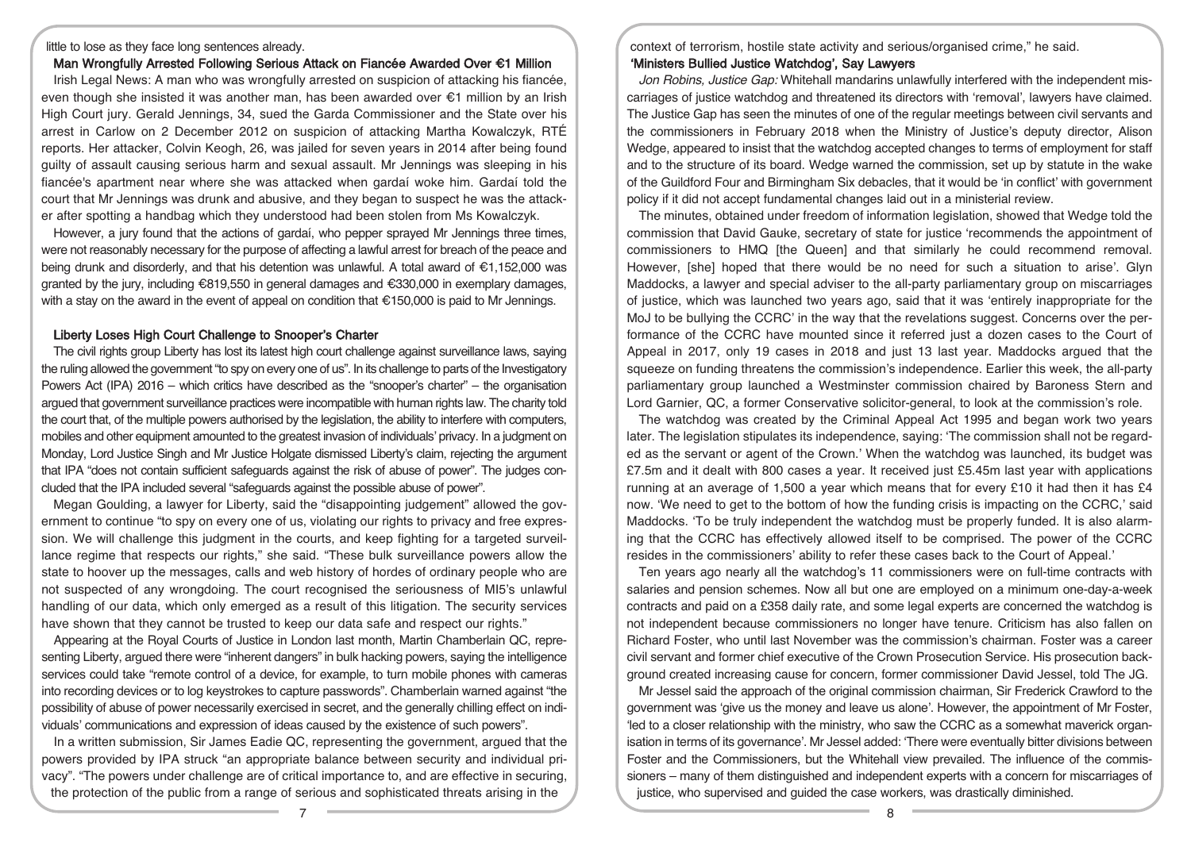#### little to lose as they face long sentences already.

Man Wrongfully Arrested Following Serious Attack on Fiancée Awarded Over €1 Million Irish Legal News: A man who was wrongfully arrested on suspicion of attacking his fiancée, even though she insisted it was another man, has been awarded over €1 million by an Irish High Court jury. Gerald Jennings, 34, sued the Garda Commissioner and the State over his arrest in Carlow on 2 December 2012 on suspicion of attacking Martha Kowalczyk, RTÉ reports. Her attacker, Colvin Keogh, 26, was jailed for seven years in 2014 after being found guilty of assault causing serious harm and sexual assault. Mr Jennings was sleeping in his fiancée's apartment near where she was attacked when gardaí woke him. Gardaí told the court that Mr Jennings was drunk and abusive, and they began to suspect he was the attacker after spotting a handbag which they understood had been stolen from Ms Kowalczyk.

However, a jury found that the actions of gardaí, who pepper sprayed Mr Jennings three times, were not reasonably necessary for the purpose of affecting a lawful arrest for breach of the peace and being drunk and disorderly, and that his detention was unlawful. A total award of €1,152,000 was granted by the jury, including €819,550 in general damages and €330,000 in exemplary damages, with a stay on the award in the event of appeal on condition that €150,000 is paid to Mr Jennings.

### Liberty Loses High Court Challenge to Snooper's Charter

The civil rights group Liberty has lost its latest high court challenge against surveillance laws, saying the ruling allowed the government"to spy on every one of us". In its challenge to parts of the Investigatory Powers Act (IPA) 2016 – which critics have described as the "snooper's charter" – the organisation argued that government surveillance practices were incompatible with human rights law. The charity told the court that, of the multiple powers authorised by the legislation, the ability to interfere with computers, mobiles and other equipment amounted to the greatest invasion of individuals' privacy. In a judgment on Monday, Lord Justice Singh and Mr Justice Holgate dismissed Liberty's claim, rejecting the argument that IPA "does not contain sufficient safeguards against the risk of abuse of power". The judges concluded that the IPA included several "safeguards against the possible abuse of power".

Megan Goulding, a lawyer for Liberty, said the "disappointing judgement" allowed the government to continue "to spy on every one of us, violating our rights to privacy and free expression. We will challenge this judgment in the courts, and keep fighting for a targeted surveillance regime that respects our rights," she said. "These bulk surveillance powers allow the state to hoover up the messages, calls and web history of hordes of ordinary people who are not suspected of any wrongdoing. The court recognised the seriousness of MI5's unlawful handling of our data, which only emerged as a result of this litigation. The security services have shown that they cannot be trusted to keep our data safe and respect our rights."

Appearing at the Royal Courts of Justice in London last month, Martin Chamberlain QC, representing Liberty, argued there were "inherent dangers" in bulk hacking powers, saying the intelligence services could take "remote control of a device, for example, to turn mobile phones with cameras into recording devices or to log keystrokes to capture passwords". Chamberlain warned against "the possibility of abuse of power necessarily exercised in secret, and the generally chilling effect on individuals' communications and expression of ideas caused by the existence of such powers".

In a written submission, Sir James Eadie QC, representing the government, argued that the powers provided by IPA struck "an appropriate balance between security and individual privacy". "The powers under challenge are of critical importance to, and are effective in securing, the protection of the public from a range of serious and sophisticated threats arising in the

context of terrorism, hostile state activity and serious/organised crime," he said. 'Ministers Bullied Justice Watchdog', Say Lawyers

Jon Robins, Justice Gap: Whitehall mandarins unlawfully interfered with the independent miscarriages of justice watchdog and threatened its directors with 'removal', lawyers have claimed. The Justice Gap has seen the minutes of one of the regular meetings between civil servants and the commissioners in February 2018 when the Ministry of Justice's deputy director, Alison Wedge, appeared to insist that the watchdog accepted changes to terms of employment for staff and to the structure of its board. Wedge warned the commission, set up by statute in the wake of the Guildford Four and Birmingham Six debacles, that it would be 'in conflict' with government policy if it did not accept fundamental changes laid out in a ministerial review.

The minutes, obtained under freedom of information legislation, showed that Wedge told the commission that David Gauke, secretary of state for justice 'recommends the appointment of commissioners to HMQ [the Queen] and that similarly he could recommend removal. However, [she] hoped that there would be no need for such a situation to arise'. Glyn Maddocks, a lawyer and special adviser to the all-party parliamentary group on miscarriages of justice, which was launched two years ago, said that it was 'entirely inappropriate for the MoJ to be bullying the CCRC' in the way that the revelations suggest. Concerns over the performance of the CCRC have mounted since it referred just a dozen cases to the Court of Appeal in 2017, only 19 cases in 2018 and just 13 last year. Maddocks argued that the squeeze on funding threatens the commission's independence. Earlier this week, the all-party parliamentary group launched a Westminster commission chaired by Baroness Stern and Lord Garnier, QC, a former Conservative solicitor-general, to look at the commission's role.

The watchdog was created by the Criminal Appeal Act 1995 and began work two years later. The legislation stipulates its independence, saying: 'The commission shall not be regarded as the servant or agent of the Crown.' When the watchdog was launched, its budget was £7.5m and it dealt with 800 cases a year. It received just £5.45m last year with applications running at an average of 1,500 a year which means that for every £10 it had then it has £4 now. 'We need to get to the bottom of how the funding crisis is impacting on the CCRC,' said Maddocks. 'To be truly independent the watchdog must be properly funded. It is also alarming that the CCRC has effectively allowed itself to be comprised. The power of the CCRC resides in the commissioners' ability to refer these cases back to the Court of Appeal.'

Ten years ago nearly all the watchdog's 11 commissioners were on full-time contracts with salaries and pension schemes. Now all but one are employed on a minimum one-day-a-week contracts and paid on a £358 daily rate, and some legal experts are concerned the watchdog is not independent because commissioners no longer have tenure. Criticism has also fallen on Richard Foster, who until last November was the commission's chairman. Foster was a career civil servant and former chief executive of the Crown Prosecution Service. His prosecution background created increasing cause for concern, former commissioner David Jessel, told The JG.

Mr Jessel said the approach of the original commission chairman, Sir Frederick Crawford to the government was 'give us the money and leave us alone'. However, the appointment of Mr Foster, 'led to a closer relationship with the ministry, who saw the CCRC as a somewhat maverick organisation in terms of its governance'. Mr Jessel added: 'There were eventually bitter divisions between Foster and the Commissioners, but the Whitehall view prevailed. The influence of the commissioners – many of them distinguished and independent experts with a concern for miscarriages of justice, who supervised and guided the case workers, was drastically diminished.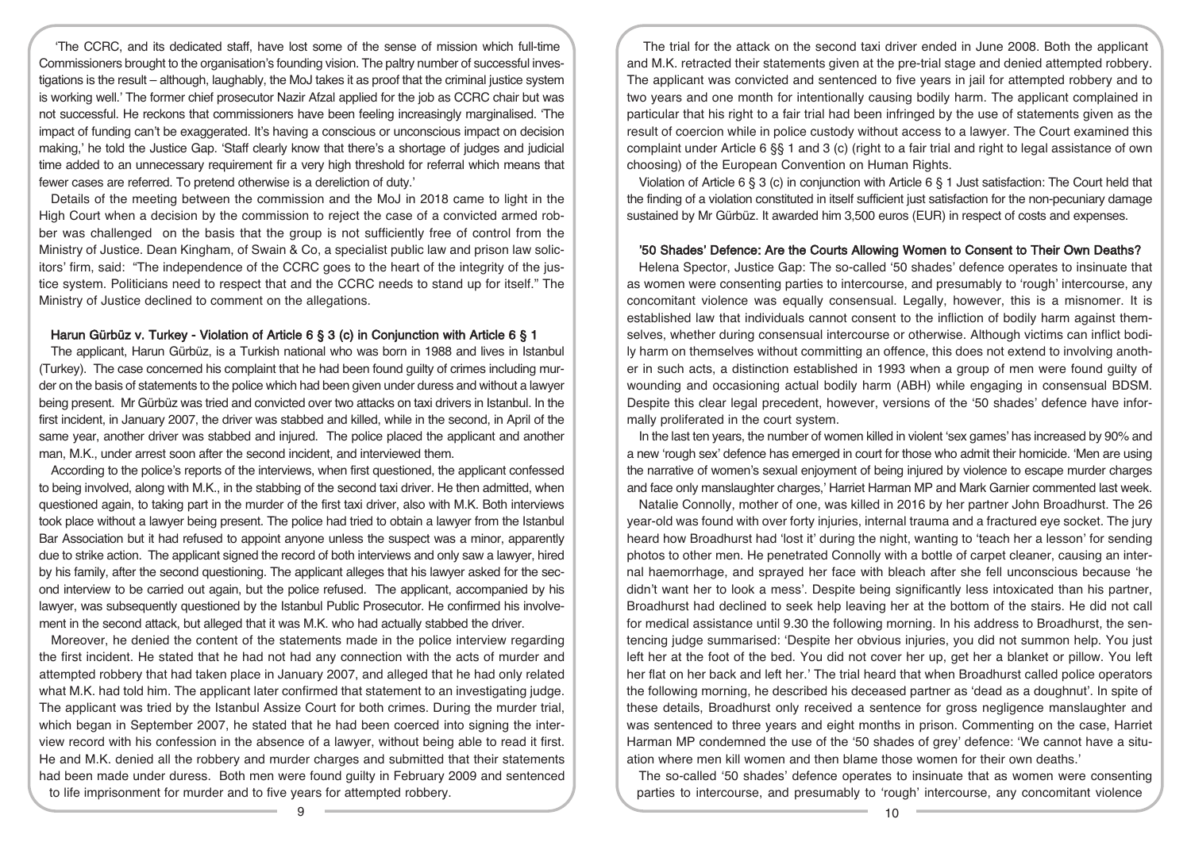'The CCRC, and its dedicated staff, have lost some of the sense of mission which full-time Commissioners brought to the organisation's founding vision. The paltry number of successful investigations is the result – although, laughably, the MoJ takes it as proof that the criminal justice system is working well.' The former chief prosecutor Nazir Afzal applied for the job as CCRC chair but was not successful. He reckons that commissioners have been feeling increasingly marginalised. 'The impact of funding can't be exaggerated. It's having a conscious or unconscious impact on decision making,' he told the Justice Gap. 'Staff clearly know that there's a shortage of judges and judicial time added to an unnecessary requirement fir a very high threshold for referral which means that fewer cases are referred. To pretend otherwise is a dereliction of duty.'

Details of the meeting between the commission and the MoJ in 2018 came to light in the High Court when a decision by the commission to reject the case of a convicted armed robber was challenged on the basis that the group is not sufficiently free of control from the Ministry of Justice. Dean Kingham, of Swain & Co, a specialist public law and prison law solicitors' firm, said: "The independence of the CCRC goes to the heart of the integrity of the justice system. Politicians need to respect that and the CCRC needs to stand up for itself." The Ministry of Justice declined to comment on the allegations.

### Harun Gürbüz v. Turkey - Violation of Article 6 § 3 (c) in Conjunction with Article 6 § 1

The applicant, Harun Gürbüz, is a Turkish national who was born in 1988 and lives in Istanbul (Turkey). The case concerned his complaint that he had been found guilty of crimes including murder on the basis of statements to the police which had been given under duress and without a lawyer being present. Mr Gürbüz was tried and convicted over two attacks on taxi drivers in Istanbul. In the first incident, in January 2007, the driver was stabbed and killed, while in the second, in April of the same year, another driver was stabbed and injured. The police placed the applicant and another man, M.K., under arrest soon after the second incident, and interviewed them.

According to the police's reports of the interviews, when first questioned, the applicant confessed to being involved, along with M.K., in the stabbing of the second taxi driver. He then admitted, when questioned again, to taking part in the murder of the first taxi driver, also with M.K. Both interviews took place without a lawyer being present. The police had tried to obtain a lawyer from the Istanbul Bar Association but it had refused to appoint anyone unless the suspect was a minor, apparently due to strike action. The applicant signed the record of both interviews and only saw a lawyer, hired by his family, after the second questioning. The applicant alleges that his lawyer asked for the second interview to be carried out again, but the police refused. The applicant, accompanied by his lawyer, was subsequently questioned by the Istanbul Public Prosecutor. He confirmed his involvement in the second attack, but alleged that it was M.K. who had actually stabbed the driver.

Moreover, he denied the content of the statements made in the police interview regarding the first incident. He stated that he had not had any connection with the acts of murder and attempted robbery that had taken place in January 2007, and alleged that he had only related what M.K. had told him. The applicant later confirmed that statement to an investigating judge. The applicant was tried by the Istanbul Assize Court for both crimes. During the murder trial, which began in September 2007, he stated that he had been coerced into signing the interview record with his confession in the absence of a lawyer, without being able to read it first. He and M.K. denied all the robbery and murder charges and submitted that their statements had been made under duress. Both men were found guilty in February 2009 and sentenced to life imprisonment for murder and to five years for attempted robbery.

The trial for the attack on the second taxi driver ended in June 2008. Both the applicant and M.K. retracted their statements given at the pre-trial stage and denied attempted robbery. The applicant was convicted and sentenced to five years in jail for attempted robbery and to two years and one month for intentionally causing bodily harm. The applicant complained in particular that his right to a fair trial had been infringed by the use of statements given as the result of coercion while in police custody without access to a lawyer. The Court examined this complaint under Article 6 §§ 1 and 3 (c) (right to a fair trial and right to legal assistance of own choosing) of the European Convention on Human Rights.

Violation of Article 6 § 3 (c) in conjunction with Article 6 § 1 Just satisfaction: The Court held that the finding of a violation constituted in itself sufficient just satisfaction for the non-pecuniary damage sustained by Mr Gürbüz. It awarded him 3,500 euros (EUR) in respect of costs and expenses.

### '50 Shades' Defence: Are the Courts Allowing Women to Consent to Their Own Deaths?

Helena Spector, Justice Gap: The so-called '50 shades' defence operates to insinuate that as women were consenting parties to intercourse, and presumably to 'rough' intercourse, any concomitant violence was equally consensual. Legally, however, this is a misnomer. It is established law that individuals cannot consent to the infliction of bodily harm against themselves, whether during consensual intercourse or otherwise. Although victims can inflict bodily harm on themselves without committing an offence, this does not extend to involving another in such acts, a distinction established in 1993 when a group of men were found guilty of wounding and occasioning actual bodily harm (ABH) while engaging in consensual BDSM. Despite this clear legal precedent, however, versions of the '50 shades' defence have informally proliferated in the court system.

In the last ten years, the number of women killed in violent 'sex games' has increased by 90% and a new 'rough sex' defence has emerged in court for those who admit their homicide. 'Men are using the narrative of women's sexual enjoyment of being injured by violence to escape murder charges and face only manslaughter charges,' Harriet Harman MP and Mark Garnier commented last week.

Natalie Connolly, mother of one, was killed in 2016 by her partner John Broadhurst. The 26 year-old was found with over forty injuries, internal trauma and a fractured eye socket. The jury heard how Broadhurst had 'lost it' during the night, wanting to 'teach her a lesson' for sending photos to other men. He penetrated Connolly with a bottle of carpet cleaner, causing an internal haemorrhage, and sprayed her face with bleach after she fell unconscious because 'he didn't want her to look a mess'. Despite being significantly less intoxicated than his partner, Broadhurst had declined to seek help leaving her at the bottom of the stairs. He did not call for medical assistance until 9.30 the following morning. In his address to Broadhurst, the sentencing judge summarised: 'Despite her obvious injuries, you did not summon help. You just left her at the foot of the bed. You did not cover her up, get her a blanket or pillow. You left her flat on her back and left her.' The trial heard that when Broadhurst called police operators the following morning, he described his deceased partner as 'dead as a doughnut'. In spite of these details, Broadhurst only received a sentence for gross negligence manslaughter and was sentenced to three years and eight months in prison. Commenting on the case, Harriet Harman MP condemned the use of the '50 shades of grey' defence: 'We cannot have a situation where men kill women and then blame those women for their own deaths.'

The so-called '50 shades' defence operates to insinuate that as women were consenting parties to intercourse, and presumably to 'rough' intercourse, any concomitant violence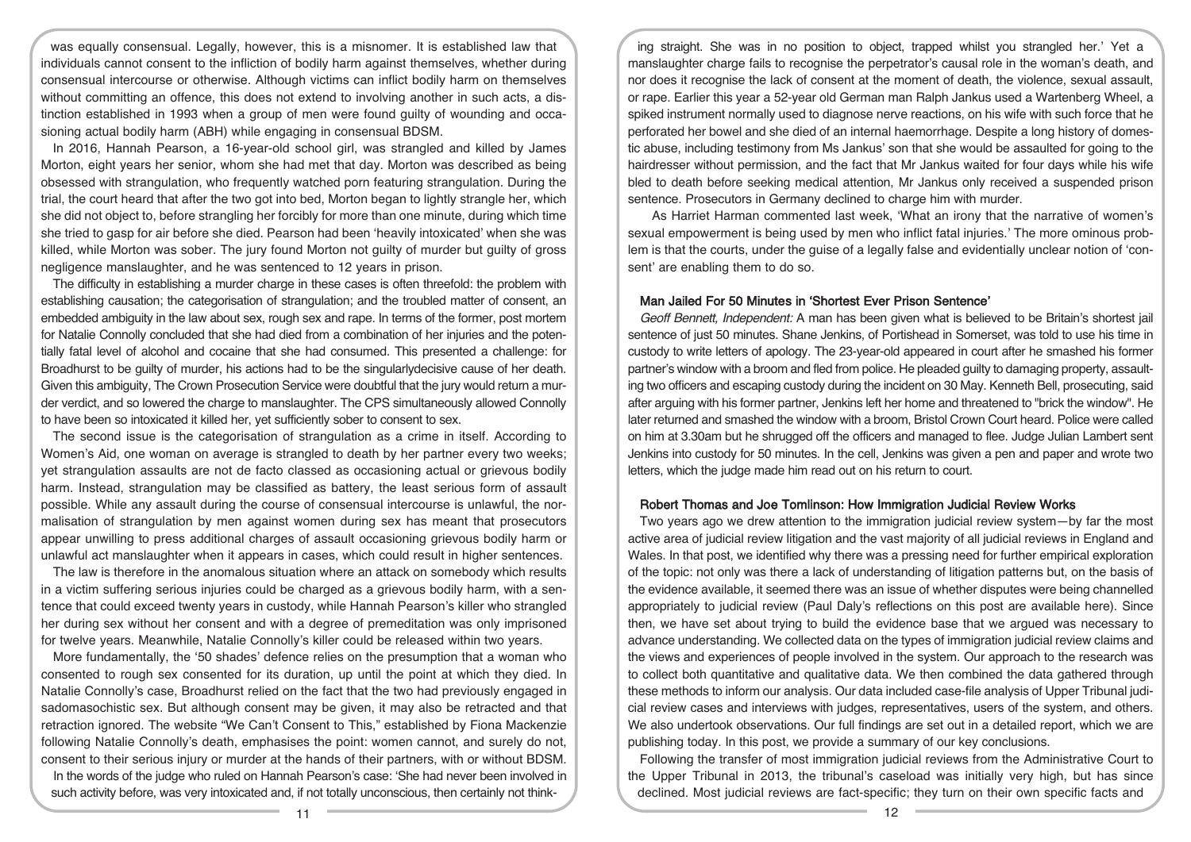was equally consensual. Legally, however, this is a misnomer. It is established law that individuals cannot consent to the infliction of bodily harm against themselves, whether during consensual intercourse or otherwise. Although victims can inflict bodily harm on themselves without committing an offence, this does not extend to involving another in such acts, a distinction established in 1993 when a group of men were found guilty of wounding and occasioning actual bodily harm (ABH) while engaging in consensual BDSM.

In 2016, Hannah Pearson, a 16-year-old school girl, was strangled and killed by James Morton, eight years her senior, whom she had met that day. Morton was described as being obsessed with strangulation, who frequently watched porn featuring strangulation. During the trial, the court heard that after the two got into bed, Morton began to lightly strangle her, which she did not object to, before strangling her forcibly for more than one minute, during which time she tried to gasp for air before she died. Pearson had been 'heavily intoxicated' when she was killed, while Morton was sober. The jury found Morton not guilty of murder but guilty of gross negligence manslaughter, and he was sentenced to 12 years in prison.

The difficulty in establishing a murder charge in these cases is often threefold: the problem with establishing causation; the categorisation of strangulation; and the troubled matter of consent, an embedded ambiguity in the law about sex, rough sex and rape. In terms of the former, post mortem for Natalie Connolly concluded that she had died from a combination of her injuries and the potentially fatal level of alcohol and cocaine that she had consumed. This presented a challenge: for Broadhurst to be guilty of murder, his actions had to be the singularlydecisive cause of her death. Given this ambiguity, The Crown Prosecution Service were doubtful that the jury would return a murder verdict, and so lowered the charge to manslaughter. The CPS simultaneously allowed Connolly to have been so intoxicated it killed her, yet sufficiently sober to consent to sex.

The second issue is the categorisation of strangulation as a crime in itself. According to Women's Aid, one woman on average is strangled to death by her partner every two weeks; yet strangulation assaults are not de facto classed as occasioning actual or grievous bodily harm. Instead, strangulation may be classified as battery, the least serious form of assault possible. While any assault during the course of consensual intercourse is unlawful, the normalisation of strangulation by men against women during sex has meant that prosecutors appear unwilling to press additional charges of assault occasioning grievous bodily harm or unlawful act manslaughter when it appears in cases, which could result in higher sentences.

The law is therefore in the anomalous situation where an attack on somebody which results in a victim suffering serious injuries could be charged as a grievous bodily harm, with a sentence that could exceed twenty years in custody, while Hannah Pearson's killer who strangled her during sex without her consent and with a degree of premeditation was only imprisoned for twelve years. Meanwhile, Natalie Connolly's killer could be released within two years.

More fundamentally, the '50 shades' defence relies on the presumption that a woman who consented to rough sex consented for its duration, up until the point at which they died. In Natalie Connolly's case, Broadhurst relied on the fact that the two had previously engaged in sadomasochistic sex. But although consent may be given, it may also be retracted and that retraction ignored. The website "We Can't Consent to This," established by Fiona Mackenzie following Natalie Connolly's death, emphasises the point: women cannot, and surely do not, consent to their serious injury or murder at the hands of their partners, with or without BDSM. In the words of the judge who ruled on Hannah Pearson's case: 'She had never been involved in such activity before, was very intoxicated and, if not totally unconscious, then certainly not think-

ing straight. She was in no position to object, trapped whilst you strangled her.' Yet a manslaughter charge fails to recognise the perpetrator's causal role in the woman's death, and nor does it recognise the lack of consent at the moment of death, the violence, sexual assault, or rape. Earlier this year a 52-year old German man Ralph Jankus used a Wartenberg Wheel, a spiked instrument normally used to diagnose nerve reactions, on his wife with such force that he perforated her bowel and she died of an internal haemorrhage. Despite a long history of domestic abuse, including testimony from Ms Jankus' son that she would be assaulted for going to the hairdresser without permission, and the fact that Mr Jankus waited for four days while his wife bled to death before seeking medical attention, Mr Jankus only received a suspended prison sentence. Prosecutors in Germany declined to charge him with murder.

As Harriet Harman commented last week, 'What an irony that the narrative of women's sexual empowerment is being used by men who inflict fatal injuries.' The more ominous problem is that the courts, under the guise of a legally false and evidentially unclear notion of 'consent' are enabling them to do so.

#### Man Jailed For 50 Minutes in 'Shortest Ever Prison Sentence'

Geoff Bennett, Independent: A man has been given what is believed to be Britain's shortest jail sentence of just 50 minutes. Shane Jenkins, of Portishead in Somerset, was told to use his time in custody to write letters of apology. The 23-year-old appeared in court after he smashed his former partner's window with a broom and fled from police. He pleaded guilty to damaging property, assaulting two officers and escaping custody during the incident on 30 May. Kenneth Bell, prosecuting, said after arguing with his former partner, Jenkins left her home and threatened to "brick the window". He later returned and smashed the window with a broom, Bristol Crown Court heard. Police were called on him at 3.30am but he shrugged off the officers and managed to flee. Judge Julian Lambert sent Jenkins into custody for 50 minutes. In the cell, Jenkins was given a pen and paper and wrote two letters, which the judge made him read out on his return to court.

# Robert Thomas and Joe Tomlinson: How Immigration Judicial Review Works

Two years ago we drew attention to the immigration judicial review system—by far the most active area of judicial review litigation and the vast majority of all judicial reviews in England and Wales. In that post, we identified why there was a pressing need for further empirical exploration of the topic: not only was there a lack of understanding of litigation patterns but, on the basis of the evidence available, it seemed there was an issue of whether disputes were being channelled appropriately to judicial review (Paul Daly's reflections on this post are available here). Since then, we have set about trying to build the evidence base that we argued was necessary to advance understanding. We collected data on the types of immigration judicial review claims and the views and experiences of people involved in the system. Our approach to the research was to collect both quantitative and qualitative data. We then combined the data gathered through these methods to inform our analysis. Our data included case-file analysis of Upper Tribunal judicial review cases and interviews with judges, representatives, users of the system, and others. We also undertook observations. Our full findings are set out in a detailed report, which we are publishing today. In this post, we provide a summary of our key conclusions.

Following the transfer of most immigration judicial reviews from the Administrative Court to the Upper Tribunal in 2013, the tribunal's caseload was initially very high, but has since declined. Most judicial reviews are fact-specific; they turn on their own specific facts and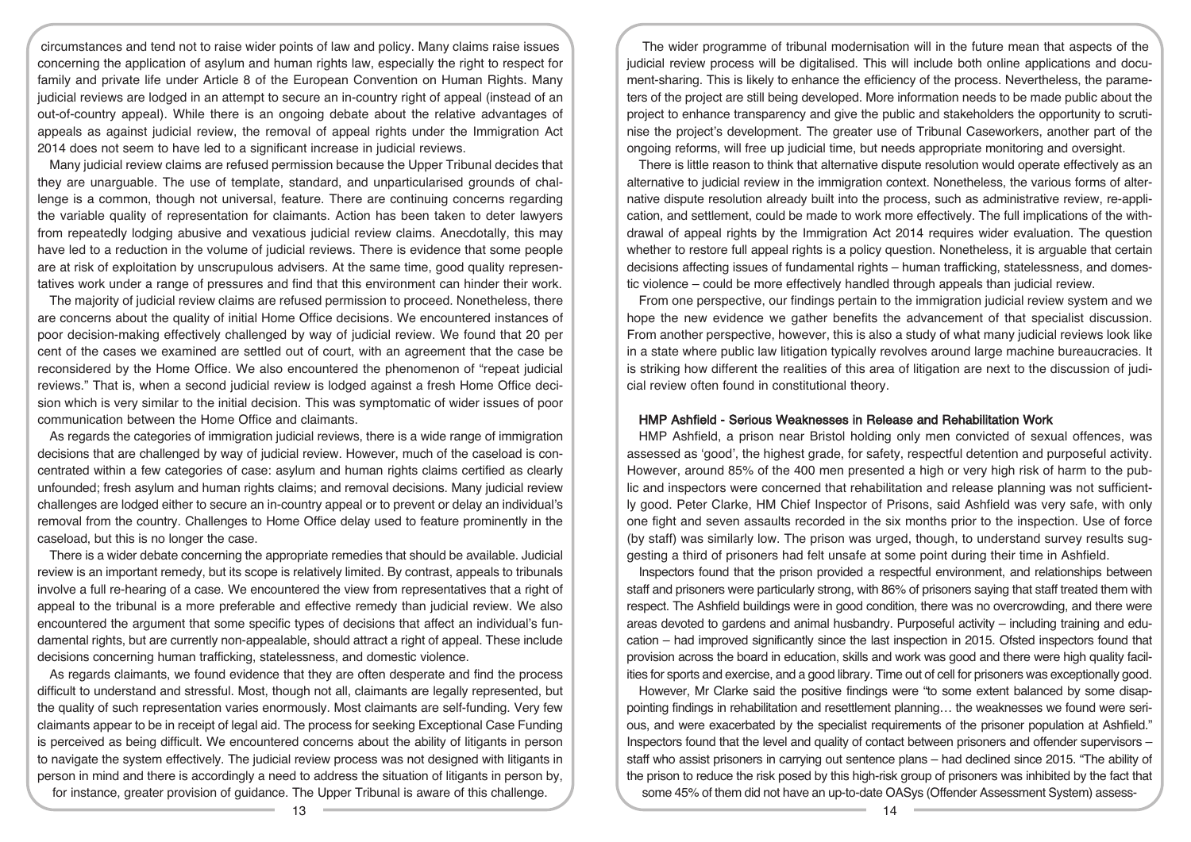circumstances and tend not to raise wider points of law and policy. Many claims raise issues concerning the application of asylum and human rights law, especially the right to respect for family and private life under Article 8 of the European Convention on Human Rights. Many judicial reviews are lodged in an attempt to secure an in-country right of appeal (instead of an out-of-country appeal). While there is an ongoing debate about the relative advantages of appeals as against judicial review, the removal of appeal rights under the Immigration Act 2014 does not seem to have led to a significant increase in judicial reviews.

Many judicial review claims are refused permission because the Upper Tribunal decides that they are unarguable. The use of template, standard, and unparticularised grounds of challenge is a common, though not universal, feature. There are continuing concerns regarding the variable quality of representation for claimants. Action has been taken to deter lawyers from repeatedly lodging abusive and vexatious judicial review claims. Anecdotally, this may have led to a reduction in the volume of judicial reviews. There is evidence that some people are at risk of exploitation by unscrupulous advisers. At the same time, good quality representatives work under a range of pressures and find that this environment can hinder their work.

The majority of judicial review claims are refused permission to proceed. Nonetheless, there are concerns about the quality of initial Home Office decisions. We encountered instances of poor decision-making effectively challenged by way of judicial review. We found that 20 per cent of the cases we examined are settled out of court, with an agreement that the case be reconsidered by the Home Office. We also encountered the phenomenon of "repeat judicial reviews." That is, when a second judicial review is lodged against a fresh Home Office decision which is very similar to the initial decision. This was symptomatic of wider issues of poor communication between the Home Office and claimants.

As regards the categories of immigration judicial reviews, there is a wide range of immigration decisions that are challenged by way of judicial review. However, much of the caseload is concentrated within a few categories of case: asylum and human rights claims certified as clearly unfounded; fresh asylum and human rights claims; and removal decisions. Many judicial review challenges are lodged either to secure an in-country appeal or to prevent or delay an individual's removal from the country. Challenges to Home Office delay used to feature prominently in the caseload, but this is no longer the case.

There is a wider debate concerning the appropriate remedies that should be available. Judicial review is an important remedy, but its scope is relatively limited. By contrast, appeals to tribunals involve a full re-hearing of a case. We encountered the view from representatives that a right of appeal to the tribunal is a more preferable and effective remedy than judicial review. We also encountered the argument that some specific types of decisions that affect an individual's fundamental rights, but are currently non-appealable, should attract a right of appeal. These include decisions concerning human trafficking, statelessness, and domestic violence.

As regards claimants, we found evidence that they are often desperate and find the process difficult to understand and stressful. Most, though not all, claimants are legally represented, but the quality of such representation varies enormously. Most claimants are self-funding. Very few claimants appear to be in receipt of legal aid. The process for seeking Exceptional Case Funding is perceived as being difficult. We encountered concerns about the ability of litigants in person to navigate the system effectively. The judicial review process was not designed with litigants in person in mind and there is accordingly a need to address the situation of litigants in person by,

for instance, greater provision of guidance. The Upper Tribunal is aware of this challenge.

The wider programme of tribunal modernisation will in the future mean that aspects of the judicial review process will be digitalised. This will include both online applications and document-sharing. This is likely to enhance the efficiency of the process. Nevertheless, the parameters of the project are still being developed. More information needs to be made public about the project to enhance transparency and give the public and stakeholders the opportunity to scrutinise the project's development. The greater use of Tribunal Caseworkers, another part of the ongoing reforms, will free up judicial time, but needs appropriate monitoring and oversight.

There is little reason to think that alternative dispute resolution would operate effectively as an alternative to judicial review in the immigration context. Nonetheless, the various forms of alternative dispute resolution already built into the process, such as administrative review, re-application, and settlement, could be made to work more effectively. The full implications of the withdrawal of appeal rights by the Immigration Act 2014 requires wider evaluation. The question whether to restore full appeal rights is a policy question. Nonetheless, it is arguable that certain decisions affecting issues of fundamental rights – human trafficking, statelessness, and domestic violence – could be more effectively handled through appeals than judicial review.

From one perspective, our findings pertain to the immigration judicial review system and we hope the new evidence we gather benefits the advancement of that specialist discussion. From another perspective, however, this is also a study of what many judicial reviews look like in a state where public law litigation typically revolves around large machine bureaucracies. It is striking how different the realities of this area of litigation are next to the discussion of judicial review often found in constitutional theory.

#### HMP Ashfield - Serious Weaknesses in Release and Rehabilitation Work

HMP Ashfield, a prison near Bristol holding only men convicted of sexual offences, was assessed as 'good', the highest grade, for safety, respectful detention and purposeful activity. However, around 85% of the 400 men presented a high or very high risk of harm to the public and inspectors were concerned that rehabilitation and release planning was not sufficiently good. Peter Clarke, HM Chief Inspector of Prisons, said Ashfield was very safe, with only one fight and seven assaults recorded in the six months prior to the inspection. Use of force (by staff) was similarly low. The prison was urged, though, to understand survey results suggesting a third of prisoners had felt unsafe at some point during their time in Ashfield.

Inspectors found that the prison provided a respectful environment, and relationships between staff and prisoners were particularly strong, with 86% of prisoners saying that staff treated them with respect. The Ashfield buildings were in good condition, there was no overcrowding, and there were areas devoted to gardens and animal husbandry. Purposeful activity – including training and education – had improved significantly since the last inspection in 2015. Ofsted inspectors found that provision across the board in education, skills and work was good and there were high quality facilities for sports and exercise, and a good library. Time out of cell for prisoners was exceptionally good.

However, Mr Clarke said the positive findings were "to some extent balanced by some disappointing findings in rehabilitation and resettlement planning… the weaknesses we found were serious, and were exacerbated by the specialist requirements of the prisoner population at Ashfield." Inspectors found that the level and quality of contact between prisoners and offender supervisors – staff who assist prisoners in carrying out sentence plans – had declined since 2015. "The ability of the prison to reduce the risk posed by this high-risk group of prisoners was inhibited by the fact that some 45% of them did not have an up-to-date OASys (Offender Assessment System) assess-